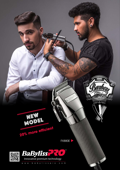